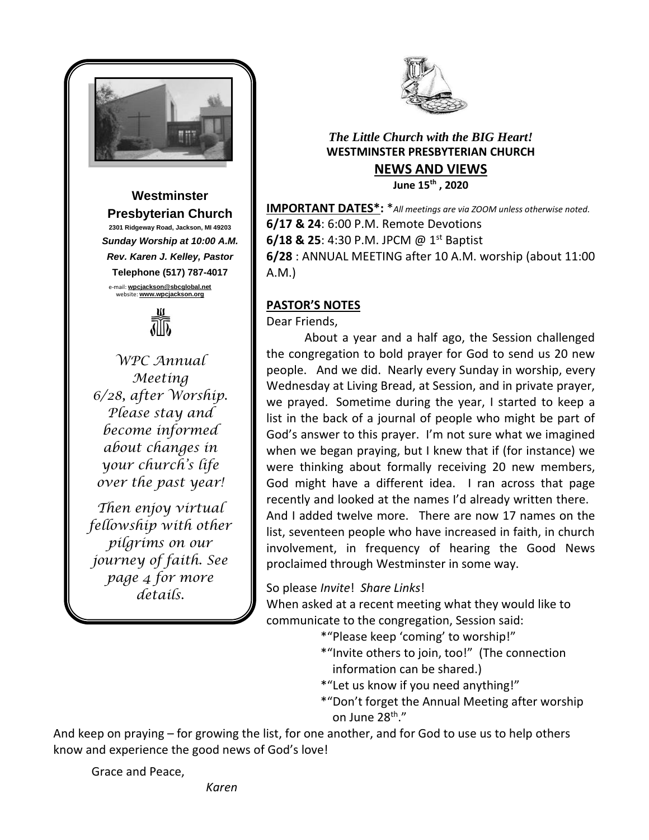

**Westminster Presbyterian Church 2301 Ridgeway Road, Jackson, MI 49203** *Sunday Worship at 10:00 A.M. Rev. Karen J. Kelley, Pastor* **Telephone (517) 787-4017** e-mail: **[wpcjackson@sbcglobal.net](mailto:wpcjackson@sbcglobal.net)** website: **www.wpcjackson.org**



*WPC Annual Meeting 6/28, after Worship. Please stay and become informed about changes in your church's life over the past year!*

*Then enjoy virtual fellowship with other pilgrims on our journey of faith. See page 4 for more details.*



# *The Little Church with the BIG Heart!* **WESTMINSTER PRESBYTERIAN CHURCH NEWS AND VIEWS June 15th , 2020**

**IMPORTANT DATES\*:** \**All meetings are via ZOOM unless otherwise noted.* **6/17 & 24**: 6:00 P.M. Remote Devotions **6/18 & 25**: 4:30 P.M. JPCM @ 1<sup>st</sup> Baptist **6/28** : ANNUAL MEETING after 10 A.M. worship (about 11:00 A.M.)

# **PASTOR'S NOTES**

Dear Friends,

About a year and a half ago, the Session challenged the congregation to bold prayer for God to send us 20 new people. And we did. Nearly every Sunday in worship, every Wednesday at Living Bread, at Session, and in private prayer, we prayed. Sometime during the year, I started to keep a list in the back of a journal of people who might be part of God's answer to this prayer. I'm not sure what we imagined when we began praying, but I knew that if (for instance) we were thinking about formally receiving 20 new members, God might have a different idea. I ran across that page recently and looked at the names I'd already written there. And I added twelve more. There are now 17 names on the list, seventeen people who have increased in faith, in church involvement, in frequency of hearing the Good News proclaimed through Westminster in some way.

So please *Invite*! *Share Links*!

When asked at a recent meeting what they would like to communicate to the congregation, Session said:

\*"Please keep 'coming' to worship!"

- \*"Invite others to join, too!" (The connection information can be shared.)
- \*"Let us know if you need anything!"
- \*"Don't forget the Annual Meeting after worship on June 28<sup>th</sup>."

And keep on praying – for growing the list, for one another, and for God to use us to help others know and experience the good news of God's love!

Grace and Peace,

*Karen*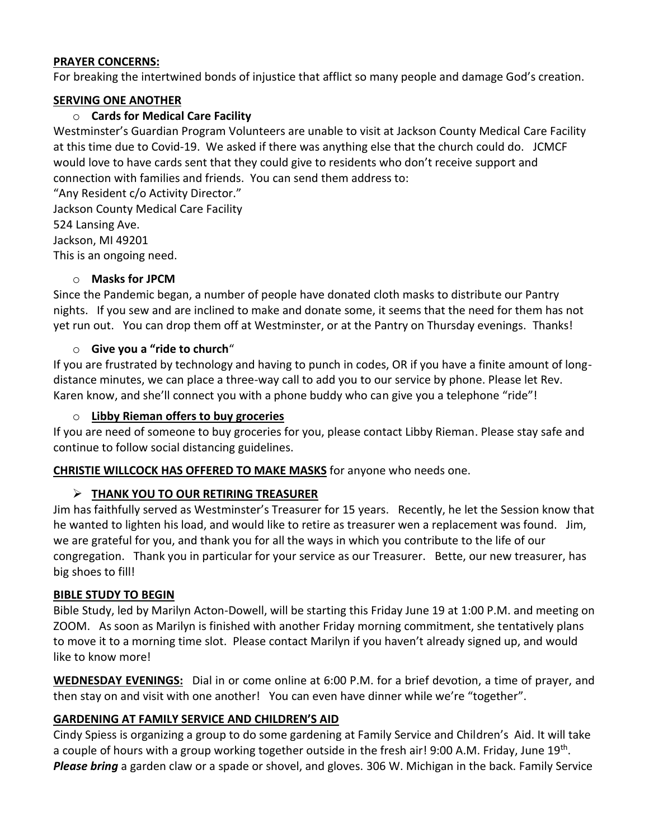#### **PRAYER CONCERNS:**

For breaking the intertwined bonds of injustice that afflict so many people and damage God's creation.

## **SERVING ONE ANOTHER**

#### o **Cards for Medical Care Facility**

Westminster's Guardian Program Volunteers are unable to visit at Jackson County Medical Care Facility at this time due to Covid-19. We asked if there was anything else that the church could do. JCMCF would love to have cards sent that they could give to residents who don't receive support and connection with families and friends. You can send them address to:

"Any Resident c/o Activity Director." Jackson County Medical Care Facility 524 Lansing Ave. Jackson, MI 49201

This is an ongoing need.

## o **Masks for JPCM**

Since the Pandemic began, a number of people have donated cloth masks to distribute our Pantry nights. If you sew and are inclined to make and donate some, it seems that the need for them has not yet run out. You can drop them off at Westminster, or at the Pantry on Thursday evenings. Thanks!

#### o **Give you a "ride to church**"

If you are frustrated by technology and having to punch in codes, OR if you have a finite amount of longdistance minutes, we can place a three-way call to add you to our service by phone. Please let Rev. Karen know, and she'll connect you with a phone buddy who can give you a telephone "ride"!

#### o **Libby Rieman offers to buy groceries**

If you are need of someone to buy groceries for you, please contact Libby Rieman. Please stay safe and continue to follow social distancing guidelines.

**CHRISTIE WILLCOCK HAS OFFERED TO MAKE MASKS** for anyone who needs one.

## ➢ **THANK YOU TO OUR RETIRING TREASURER**

Jim has faithfully served as Westminster's Treasurer for 15 years. Recently, he let the Session know that he wanted to lighten his load, and would like to retire as treasurer wen a replacement was found. Jim, we are grateful for you, and thank you for all the ways in which you contribute to the life of our congregation. Thank you in particular for your service as our Treasurer. Bette, our new treasurer, has big shoes to fill!

## **BIBLE STUDY TO BEGIN**

Bible Study, led by Marilyn Acton-Dowell, will be starting this Friday June 19 at 1:00 P.M. and meeting on ZOOM. As soon as Marilyn is finished with another Friday morning commitment, she tentatively plans to move it to a morning time slot. Please contact Marilyn if you haven't already signed up, and would like to know more!

**WEDNESDAY EVENINGS:** Dial in or come online at 6:00 P.M. for a brief devotion, a time of prayer, and then stay on and visit with one another! You can even have dinner while we're "together".

## **GARDENING AT FAMILY SERVICE AND CHILDREN'S AID**

Cindy Spiess is organizing a group to do some gardening at Family Service and Children's Aid. It will take a couple of hours with a group working together outside in the fresh air! 9:00 A.M. Friday, June 19<sup>th</sup>. *Please bring* a garden claw or a spade or shovel, and gloves. 306 W. Michigan in the back. Family Service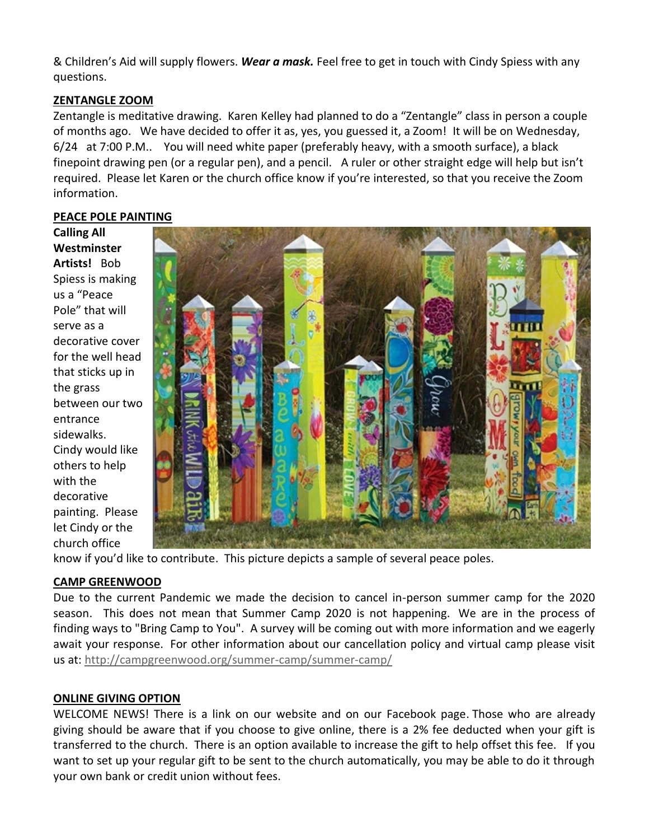& Children's Aid will supply flowers. *Wear a mask.* Feel free to get in touch with Cindy Spiess with any questions.

# **ZENTANGLE ZOOM**

Zentangle is meditative drawing. Karen Kelley had planned to do a "Zentangle" class in person a couple of months ago. We have decided to offer it as, yes, you guessed it, a Zoom! It will be on Wednesday, 6/24 at 7:00 P.M.. You will need white paper (preferably heavy, with a smooth surface), a black finepoint drawing pen (or a regular pen), and a pencil. A ruler or other straight edge will help but isn't required. Please let Karen or the church office know if you're interested, so that you receive the Zoom information.

## **PEACE POLE PAINTING**

**Calling All Westminster Artists!** Bob Spiess is making us a "Peace Pole" that will serve as a decorative cover for the well head that sticks up in the grass between our two entrance sidewalks. Cindy would like others to help with the decorative painting. Please let Cindy or the church office



know if you'd like to contribute. This picture depicts a sample of several peace poles.

## **CAMP GREENWOOD**

Due to the current Pandemic we made the decision to cancel in-person summer camp for the 2020 season. This does not mean that Summer Camp 2020 is not happening. We are in the process of finding ways to "Bring Camp to You". A survey will be coming out with more information and we eagerly await your response. For other information about our cancellation policy and virtual camp please visit us at: [http://campgreenwood.org/summer-camp/summer-camp/](https://campgreenwood.us4.list-manage.com/track/click?u=fec26ecb409c276af03b6d3db&id=f5a0ad7a91&e=e207a75e22)

## **ONLINE GIVING OPTION**

WELCOME NEWS! There is a link on our website and on our Facebook page. Those who are already giving should be aware that if you choose to give online, there is a 2% fee deducted when your gift is transferred to the church. There is an option available to increase the gift to help offset this fee. If you want to set up your regular gift to be sent to the church automatically, you may be able to do it through your own bank or credit union without fees.